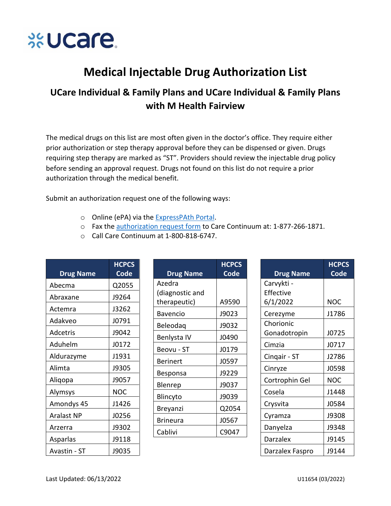

## **Medical Injectable Drug Authorization List**

## UCare Individual & Family Plans and UCare Individual & Family Plans with M Health Fairview

The medical drugs on this list are most often given in the doctor's office. They require either prior authorization or step therapy approval before they can be dispensed or given. Drugs requiring step therapy are marked as "ST". Providers should review the injectable drug policy before sending an approval request. Drugs not found on this list do not require a prior authorization through the medical benefit.

Submit an authorization request one of the following ways:

- o Online (ePA) via the ExpressPAth Portal.
- o Fax the authorization request form to Care Continuum at: 1-877-266-1871.

**HCPCS** Code

A9590

J9023 J9032 J0490 J0179 J0597 J9229 J9037 J9039 Q2054 J0567 C9047

○ Call Care Continuum at 1-800-818-6747.

| <b>Drug Name</b>  | <b>HCPCS</b><br>Code | <b>Drug Name</b>                |
|-------------------|----------------------|---------------------------------|
| Abecma            | Q2055                | Azedra                          |
| Abraxane          | J9264                | (diagnostic and<br>therapeutic) |
| Actemra           | J3262                | <b>Bavencio</b>                 |
| Adakveo           | J0791                | Beleodag                        |
| Adcetris          | J9042                | Benlysta IV                     |
| Aduhelm           | J0172                | Beovu - ST                      |
| Aldurazyme        | J1931                | <b>Berinert</b>                 |
| Alimta            | J9305                | Besponsa                        |
| Aliqopa           | J9057                | Blenrep                         |
| Alymsys           | <b>NOC</b>           |                                 |
| Amondys 45        | J1426                | Blincyto                        |
| <b>Aralast NP</b> | J0256                | Breyanzi<br><b>Brineura</b>     |
| Arzerra           | J9302                |                                 |
| Asparlas          | J9118                | Cablivi                         |
| Avastin - ST      | J9035                |                                 |

|                  | <b>HCPCS</b> |
|------------------|--------------|
| <b>Drug Name</b> | Code         |
| Carvykti -       |              |
| Effective        |              |
| 6/1/2022         | <b>NOC</b>   |
| Cerezyme         | J1786        |
| Chorionic        |              |
| Gonadotropin     | J0725        |
| Cimzia           | J0717        |
| Cingair - ST     | J2786        |
| Cinryze          | J0598        |
| Cortrophin Gel   | NOC          |
| Cosela           | J1448        |
| Crysvita         | J0584        |
| Cyramza          | J9308        |
| Danyelza         | J9348        |
| Darzalex         | J9145        |
| Darzalex Faspro  | J9144        |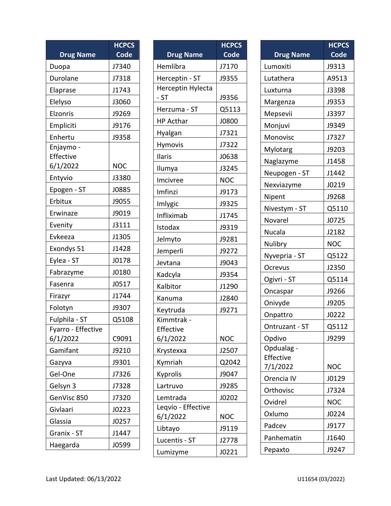|                    | <b>HCPCS</b> |
|--------------------|--------------|
| <b>Drug Name</b>   | Code         |
| Duopa              | J7340        |
| Durolane           | J7318        |
| Elaprase           | J1743        |
| Elelyso            | J3060        |
| Elzonris           | J9269        |
| Empliciti          | J9176        |
| Enhertu            | J9358        |
| Enjaymo -          |              |
| Effective          |              |
| 6/1/2022           | NOC          |
| Entyvio            | J3380        |
| Epogen - ST        | J0885        |
| Erbitux            | J9055        |
| Erwinaze           | J9019        |
| Evenity            | J3111        |
| Evkeeza            | J1305        |
| Exondys 51         | J1428        |
| Eylea - ST         | J0178        |
| Fabrazyme          | J0180        |
| Fasenra            | J0517        |
| Firazyr            | J1744        |
| Folotyn            | J9307        |
| Fulphila - ST      | Q5108        |
| Fyarro - Effective |              |
| 6/1/2022           | C9091        |
| Gamifant           | J9210        |
| Gazyva             | J9301        |
| Gel-One            | J7326        |
| Gelsyn 3           | J7328        |
| GenVisc 850        | J7320        |
| Givlaari           | J0223        |
| Glassia            | J0257        |
| Granix - ST        | J1447        |
| Haegarda           | J0599        |

|                    | <b>HCPCS</b> |
|--------------------|--------------|
| <b>Drug Name</b>   | Code         |
| Hemlibra           | J7170        |
| Herceptin - ST     | J9355        |
| Herceptin Hylecta  |              |
| $-ST$              | J9356        |
| Herzuma - ST       | Q5113        |
| <b>HP Acthar</b>   | J0800        |
| Hyalgan            | J7321        |
| Hymovis            | J7322        |
| Ilaris             | J0638        |
| Ilumya             | J3245        |
| Imcivree           | <b>NOC</b>   |
| Imfinzi            | J9173        |
| Imlygic            | J9325        |
| Infliximab         | J1745        |
| Istodax            | J9319        |
| Jelmyto            | J9281        |
| Jemperli           | J9272        |
| Jevtana            | J9043        |
| Kadcyla            | J9354        |
| Kalbitor           | J1290        |
| Kanuma             | J2840        |
| Keytruda           | J9271        |
| Kimmtrak -         |              |
| Effective          |              |
| 6/1/2022           | <b>NOC</b>   |
| Krystexxa          | J2507        |
| Kymriah            | Q2042        |
| Kyprolis           | J9047        |
| Lartruvo           | J9285        |
| Lemtrada           | J0202        |
| Leqvio - Effective |              |
| 6/1/2022           | NOC          |
| Libtayo            | J9119        |
| Lucentis - ST      | J2778        |
| Lumizyme           | J0221        |

| <b>Drug Name</b>      | <b>HCPCS</b><br>Code |
|-----------------------|----------------------|
| Lumoxiti              | J9313                |
| Lutathera             | A9513                |
| Luxturna              | J3398                |
| Margenza              | J9353                |
| Mepsevii              | J3397                |
| Monjuvi               | J9349                |
| Monovisc              | J7327                |
| Mylotarg              | J9203                |
| Naglazyme             | J1458                |
| Neupogen - ST         | J1442                |
| Nexviazyme            | J0219                |
| Nipent                | J9268                |
| Nivestym - ST         | Q5110                |
| Novarel               | J0725                |
| Nucala                | J2182                |
| Nulibry               | <b>NOC</b>           |
| Nyvepria - ST         | Q5122                |
| Ocrevus               | J2350                |
| Ogivri - ST           | Q5114                |
| Oncaspar              | J9266                |
| Onivyde               | J9205                |
| Onpattro              | J0222                |
| Ontruzant - ST        | Q5112                |
| Opdivo                | J9299                |
| Opdualag -            |                      |
| Effective<br>7/1/2022 | NOC                  |
| Orencia IV            | J0129                |
| Orthovisc             | J7324                |
| Ovidrel               | <b>NOC</b>           |
| Oxlumo                | J0224                |
| Padcev                | J9177                |
| Panhematin            | J1640                |
| Pepaxto               | J9247                |